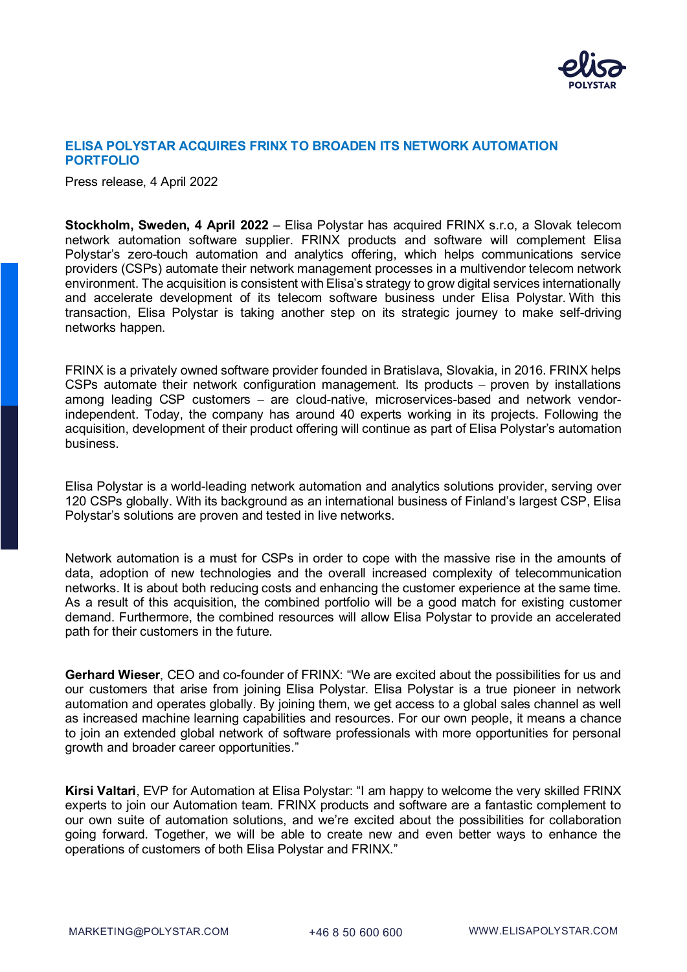

## **ELISA POLYSTAR ACQUIRES FRINX TO BROADEN ITS NETWORK AUTOMATION PORTFOLIO**

Press release, 4 April 2022

**Stockholm, Sweden, 4 April 2022** – Elisa Polystar has acquired FRINX s.r.o, a Slovak telecom network automation software supplier. FRINX products and software will complement Elisa Polystar's zero-touch automation and analytics offering, which helps communications service providers (CSPs) automate their network management processes in a multivendor telecom network environment. The acquisition is consistent with Elisa's strategy to grow digital services internationally and accelerate development of its telecom software business under Elisa Polystar. With this transaction, Elisa Polystar is taking another step on its strategic journey to make self-driving networks happen.

FRINX is a privately owned software provider founded in Bratislava, Slovakia, in 2016. FRINX helps CSPs automate their network configuration management. Its products – proven by installations among leading CSP customers – are cloud-native, microservices-based and network vendorindependent. Today, the company has around 40 experts working in its projects. Following the acquisition, development of their product offering will continue as part of Elisa Polystar's automation business.

Elisa Polystar is a world-leading network automation and analytics solutions provider, serving over 120 CSPs globally. With its background as an international business of Finland's largest CSP, Elisa Polystar's solutions are proven and tested in live networks.

Network automation is a must for CSPs in order to cope with the massive rise in the amounts of data, adoption of new technologies and the overall increased complexity of telecommunication networks. It is about both reducing costs and enhancing the customer experience at the same time. As a result of this acquisition, the combined portfolio will be a good match for existing customer demand. Furthermore, the combined resources will allow Elisa Polystar to provide an accelerated path for their customers in the future.

**Gerhard Wieser**, CEO and co-founder of FRINX: "We are excited about the possibilities for us and our customers that arise from joining Elisa Polystar. Elisa Polystar is a true pioneer in network automation and operates globally. By joining them, we get access to a global sales channel as well as increased machine learning capabilities and resources. For our own people, it means a chance to join an extended global network of software professionals with more opportunities for personal growth and broader career opportunities."

**Kirsi Valtari**, EVP for Automation at Elisa Polystar: "I am happy to welcome the very skilled FRINX experts to join our Automation team. FRINX products and software are a fantastic complement to our own suite of automation solutions, and we're excited about the possibilities for collaboration going forward. Together, we will be able to create new and even better ways to enhance the operations of customers of both Elisa Polystar and FRINX."